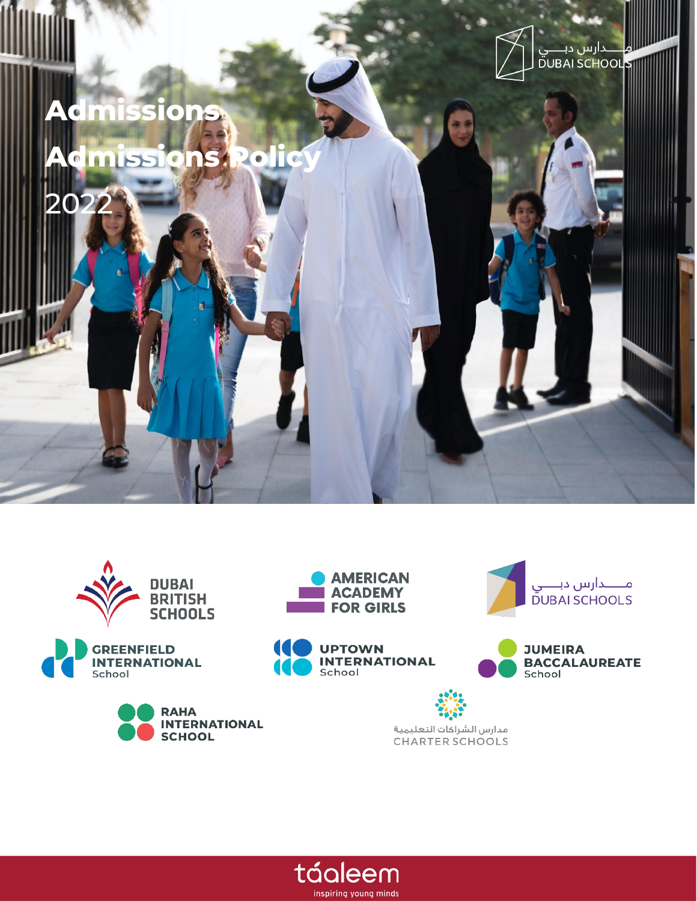

















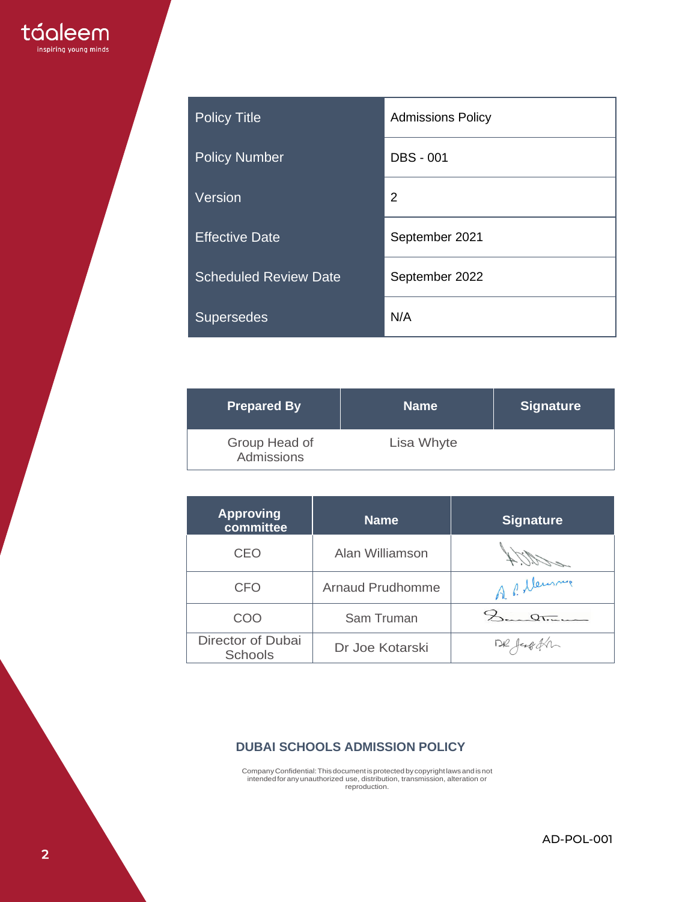| <b>Policy Title</b>          | <b>Admissions Policy</b> |
|------------------------------|--------------------------|
| <b>Policy Number</b>         | <b>DBS - 001</b>         |
| Version                      | 2                        |
| <b>Effective Date</b>        | September 2021           |
| <b>Scheduled Review Date</b> | September 2022           |
| <b>Supersedes</b>            | N/A                      |

| <b>Prepared By</b>          | <b>Name</b> | ∣Signature <sup>∖</sup> |
|-----------------------------|-------------|-------------------------|
| Group Head of<br>Admissions | Lisa Whyte  |                         |

| <b>Approving</b><br>committee       | <b>Name</b>             | <b>Signature</b> |
|-------------------------------------|-------------------------|------------------|
| <b>CEO</b>                          | Alan Williamson         |                  |
| <b>CFO</b>                          | <b>Arnaud Prudhomme</b> | A P. Meursine    |
| COO                                 | Sam Truman              | $\Omega$         |
| Director of Dubai<br><b>Schools</b> | Dr Joe Kotarski         | DR JEOGER        |

## **DUBAI SCHOOLS ADMISSION POLICY**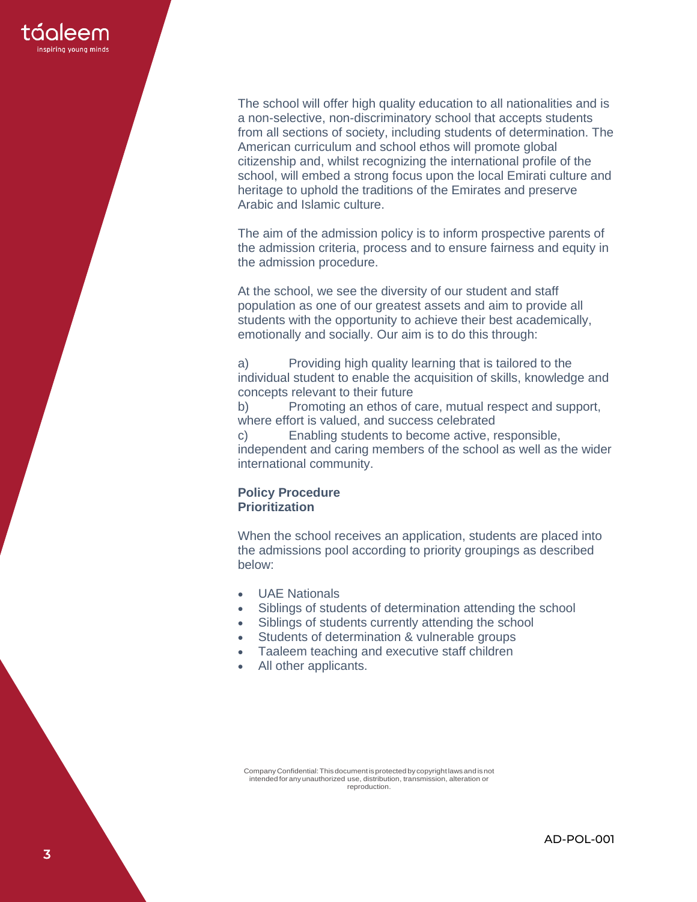

The school will offer high quality education to all nationalities and is a non-selective, non-discriminatory school that accepts students from all sections of society, including students of determination. The American curriculum and school ethos will promote global citizenship and, whilst recognizing the international profile of the school, will embed a strong focus upon the local Emirati culture and heritage to uphold the traditions of the Emirates and preserve Arabic and Islamic culture.

The aim of the admission policy is to inform prospective parents of the admission criteria, process and to ensure fairness and equity in the admission procedure.

At the school, we see the diversity of our student and staff population as one of our greatest assets and aim to provide all students with the opportunity to achieve their best academically, emotionally and socially. Our aim is to do this through:

a) Providing high quality learning that is tailored to the individual student to enable the acquisition of skills, knowledge and concepts relevant to their future

b) Promoting an ethos of care, mutual respect and support, where effort is valued, and success celebrated

c) Enabling students to become active, responsible, independent and caring members of the school as well as the wider international community.

#### **Policy Procedure Prioritization**

When the school receives an application, students are placed into the admissions pool according to priority groupings as described below:

- UAE Nationals
- Siblings of students of determination attending the school
- Siblings of students currently attending the school
- Students of determination & vulnerable groups
- Taaleem teaching and executive staff children
- All other applicants.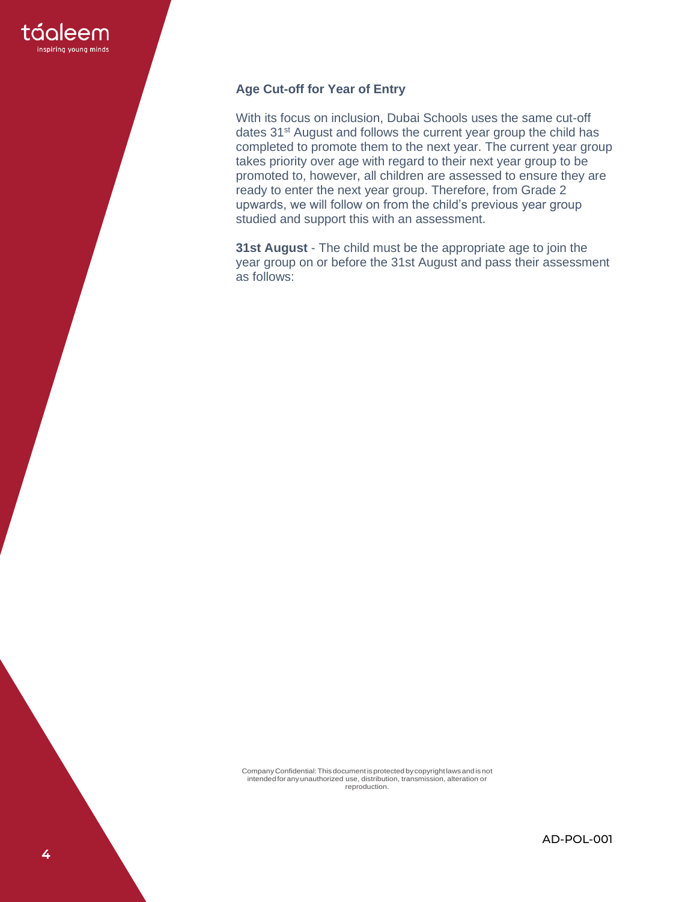

## **Age Cut-off for Year of Entry**

With its focus on inclusion, Dubai Schools uses the same cut-off dates 31<sup>st</sup> August and follows the current year group the child has completed to promote them to the next year. The current year group takes priority over age with regard to their next year group to be promoted to, however, all children are assessed to ensure they are ready to enter the next year group. Therefore, from Grade 2 upwards, we will follow on from the child's previous year group studied and support this with an assessment.

**31st August** - The child must be the appropriate age to join the year group on or before the 31st August and pass their assessment as follows: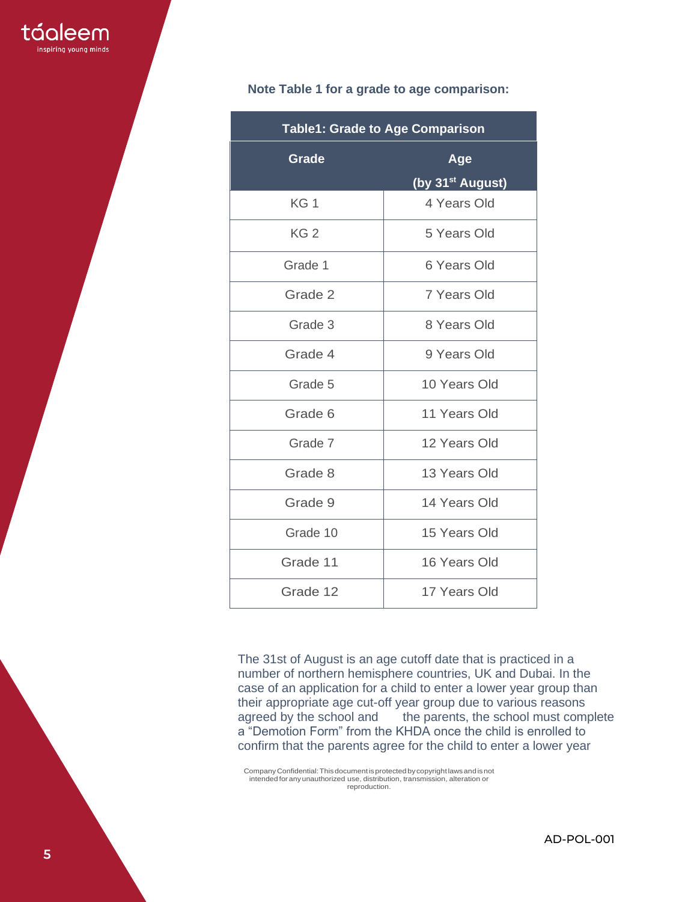|  |  |  |  |  |  |  | Note Table 1 for a grade to age comparison: |  |
|--|--|--|--|--|--|--|---------------------------------------------|--|
|--|--|--|--|--|--|--|---------------------------------------------|--|

| <b>Table1: Grade to Age Comparison</b> |                              |  |  |  |
|----------------------------------------|------------------------------|--|--|--|
| Grade                                  | <b>Age</b>                   |  |  |  |
|                                        | (by 31 <sup>st</sup> August) |  |  |  |
| KG <sub>1</sub>                        | 4 Years Old                  |  |  |  |
| KG <sub>2</sub>                        | 5 Years Old                  |  |  |  |
| Grade 1                                | 6 Years Old                  |  |  |  |
| Grade 2                                | 7 Years Old                  |  |  |  |
| Grade 3                                | 8 Years Old                  |  |  |  |
| Grade 4                                | 9 Years Old                  |  |  |  |
| Grade 5                                | 10 Years Old                 |  |  |  |
| Grade 6                                | 11 Years Old                 |  |  |  |
| Grade 7                                | 12 Years Old                 |  |  |  |
| Grade 8                                | 13 Years Old                 |  |  |  |
| Grade 9                                | 14 Years Old                 |  |  |  |
| Grade 10                               | 15 Years Old                 |  |  |  |
| Grade 11                               | 16 Years Old                 |  |  |  |
| Grade 12                               | 17 Years Old                 |  |  |  |

The 31st of August is an age cutoff date that is practiced in a number of northern hemisphere countries, UK and Dubai. In the case of an application for a child to enter a lower year group than their appropriate age cut-off year group due to various reasons agreed by the school and the parents, the school must complete a "Demotion Form" from the KHDA once the child is enrolled to confirm that the parents agree for the child to enter a lower year

CompanyConfidential:Thisdocumentisprotected bycopyrightlawsand isnot intended for anyunauthorized use, distribution, transmission, alteration or reproduction.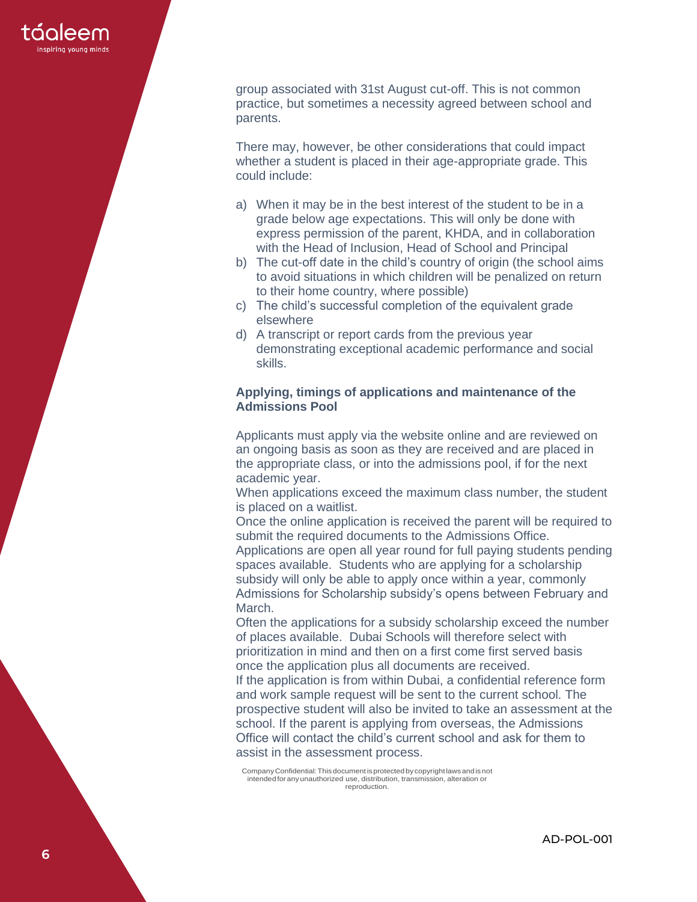

group associated with 31st August cut -off. This is not common practice, but sometimes a necessity agreed between school and parents.

There may , however, be other considerations that could impact whether a student is placed in their age -appropriate grade. This could include:

- a) When it may be in the best interest of the student to be in a grade below age expectations. This will only be done with express permission of the parent, KHDA, and in collaboration with the Head of Inclusion, Head of School and Principal
- b) The cut -off date in the child's country of origin (the school aims to avoid situations in which children will be penalized on return to their home country, where possible)
- c) The child's successful completion of the equivalent grade elsewhere
- d) A transcript or report cards from the previous year demonstrating exceptional academic performance and social skills .

## **Applying, timings of applications and maintenance of the Admissions Pool**

Applicants must apply via the website online and are reviewed on an ongoing basis as soon as they are received and are placed in the appropriate class, or into the admissions pool, if for the next academic year.

When applications exceed the maximum class number, the student is placed on a waitlist.

Once the online application is received the parent will be required to submit the required documents to the Admissions Office.

Applications are open all year round for full paying students pending spaces available. Students who are applying for a scholarship subsidy will only be able to apply once within a year, commonly Admissions for Scholarship subsidy's opens between February and March.

Often the applications for a subsidy scholarship exceed the number of places available. Dubai Schools will therefore select with prioritization in mind and then on a first come first served basis once the application plus all documents are received.

If the application is from within Dubai, a confidential reference form and work sample request will be sent to the current school. The prospective student will also be invited to take an assessment at the school. If the parent is applying from overseas, the Admissions Office will contact the child's current school and ask for them to assist in the assessment process.

CompanyConfidential:Thisdocumentisprotected bycopyrightlawsand isnot intended for anyunauthorized use, distribution, transmission, alteration or reproduction.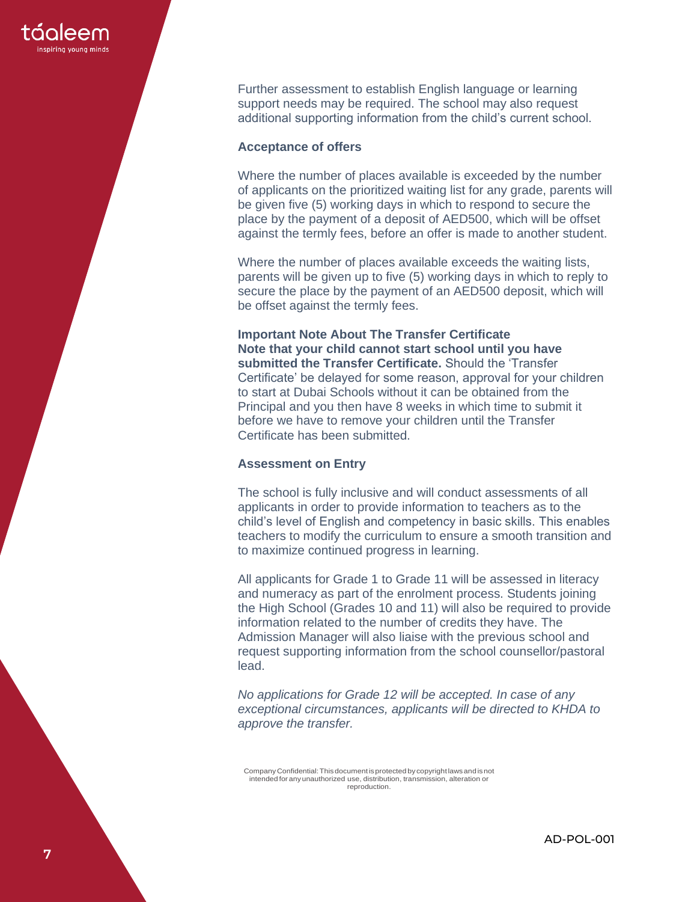

Further assessment to establish English language or learning support needs may be required. The school may also request additional supporting information from the child's current school.

#### **Acceptance of offers**

Where the number of places available is exceeded by the number of applicants on the prioritized waiting list for any grade, parents will be given five (5) working days in which to respond to secure the place by the payment of a deposit of AED500, which will be offset against the termly fees, before an offer is made to another student.

Where the number of places available exceeds the waiting lists, parents will be given up to five (5) working days in which to reply to secure the place by the payment of an AED500 deposit, which will be offset against the termly fees.

**Important Note About The Transfer Certificate Note that your child cannot start school until you have submitted the Transfer Certificate.** Should the 'Transfer Certificate' be delayed for some reason, approval for your children to start at Dubai Schools without it can be obtained from the Principal and you then have 8 weeks in which time to submit it before we have to remove your children until the Transfer Certificate has been submitted.

## **Assessment on Entry**

The school is fully inclusive and will conduct assessments of all applicants in order to provide information to teachers as to the child's level of English and competency in basic skills. This enables teachers to modify the curriculum to ensure a smooth transition and to maximize continued progress in learning.

All applicants for Grade 1 to Grade 11 will be assessed in literacy and numeracy as part of the enrolment process. Students joining the High School (Grades 10 and 11) will also be required to provide information related to the number of credits they have. The Admission Manager will also liaise with the previous school and request supporting information from the school counsellor/pastoral lead.

*No applications for Grade 12 will be accepted. In case of any exceptional circumstances, applicants will be directed to KHDA to approve the transfer.*

CompanyConfidential:Thisdocumentisprotected bycopyrightlawsand isnot intended for anyunauthorized use, distribution, transmission, alteration or reproduction.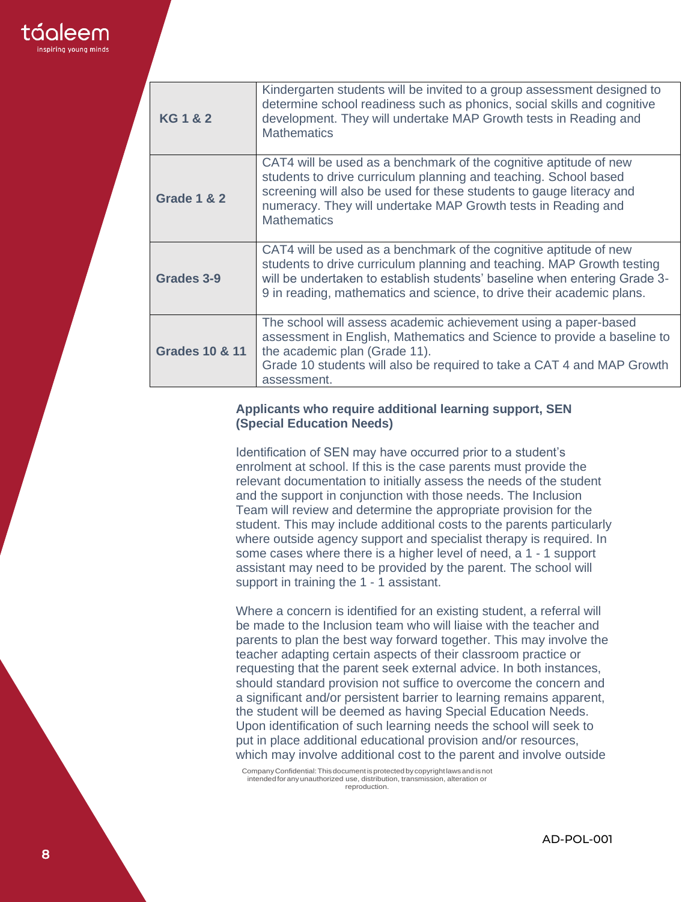

| <b>KG1&amp;2</b>          | Kindergarten students will be invited to a group assessment designed to<br>determine school readiness such as phonics, social skills and cognitive<br>development. They will undertake MAP Growth tests in Reading and<br><b>Mathematics</b>                                                         |
|---------------------------|------------------------------------------------------------------------------------------------------------------------------------------------------------------------------------------------------------------------------------------------------------------------------------------------------|
| <b>Grade 1 &amp; 2</b>    | CAT4 will be used as a benchmark of the cognitive aptitude of new<br>students to drive curriculum planning and teaching. School based<br>screening will also be used for these students to gauge literacy and<br>numeracy. They will undertake MAP Growth tests in Reading and<br><b>Mathematics</b> |
| Grades 3-9                | CAT4 will be used as a benchmark of the cognitive aptitude of new<br>students to drive curriculum planning and teaching. MAP Growth testing<br>will be undertaken to establish students' baseline when entering Grade 3-<br>9 in reading, mathematics and science, to drive their academic plans.    |
| <b>Grades 10 &amp; 11</b> | The school will assess academic achievement using a paper-based<br>assessment in English, Mathematics and Science to provide a baseline to<br>the academic plan (Grade 11).<br>Grade 10 students will also be required to take a CAT 4 and MAP Growth<br>assessment.                                 |

### **Applicants who require additional learning support, SEN (Special Education Needs)**

Identification of SEN may have occurred prior to a student's enrolment at school. If this is the case parents must provide the relevant documentation to initially assess the needs of the student and the support in conjunction with those needs. The Inclusion Team will review and determine the appropriate provision for the student. This may include additional costs to the parents particularly where outside agency support and specialist therapy is required. In some cases where there is a higher level of need, a 1 - 1 support assistant may need to be provided by the parent. The school will support in training the 1 - 1 assistant.

Where a concern is identified for an existing student, a referral will be made to the Inclusion team who will liaise with the teacher and parents to plan the best way forward together. This may involve the teacher adapting certain aspects of their classroom practice or requesting that the parent seek external advice. In both instances, should standard provision not suffice to overcome the concern and a significant and/or persistent barrier to learning remains apparent, the student will be deemed as having Special Education Needs. Upon identification of such learning needs the school will seek to put in place additional educational provision and/or resources, which may involve additional cost to the parent and involve outside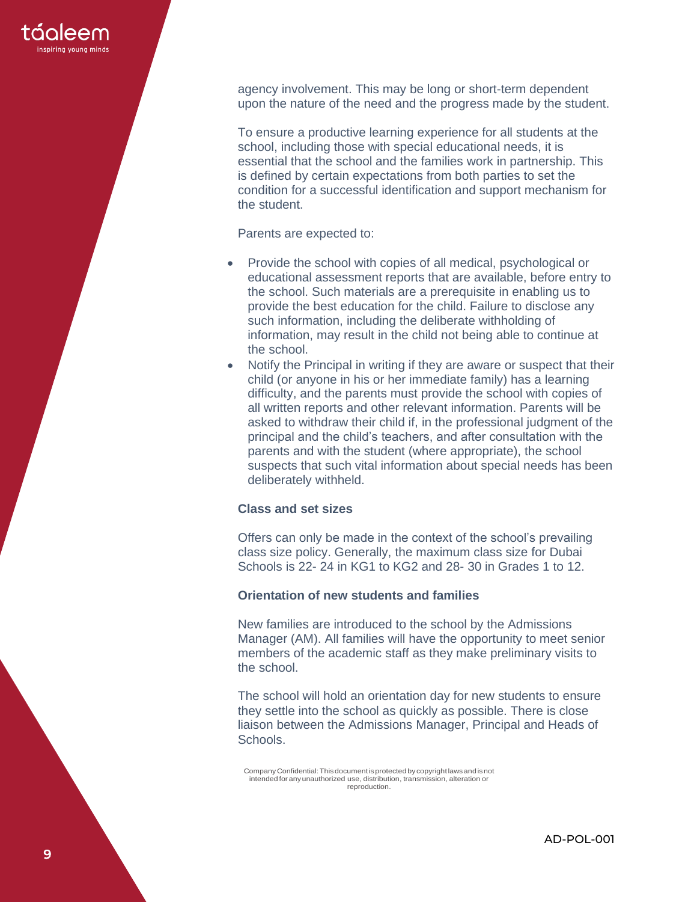

agency involvement. This may be long or short-term dependent upon the nature of the need and the progress made by the student.

To ensure a productive learning experience for all students at the school, including those with special educational needs, it is essential that the school and the families work in partnership. This is defined by certain expectations from both parties to set the condition for a successful identification and support mechanism for the student.

Parents are expected to:

- Provide the school with copies of all medical, psychological or educational assessment reports that are available, before entry to the school. Such materials are a prerequisite in enabling us to provide the best education for the child. Failure to disclose any such information, including the deliberate withholding of information, may result in the child not being able to continue at the school.
- Notify the Principal in writing if they are aware or suspect that their child (or anyone in his or her immediate family) has a learning difficulty, and the parents must provide the school with copies of all written reports and other relevant information. Parents will be asked to withdraw their child if, in the professional judgment of the principal and the child's teachers, and after consultation with the parents and with the student (where appropriate), the school suspects that such vital information about special needs has been deliberately withheld.

#### **Class and set sizes**

Offers can only be made in the context of the school's prevailing class size policy. Generally, the maximum class size for Dubai Schools is 22- 24 in KG1 to KG2 and 28- 30 in Grades 1 to 12.

## **Orientation of new students and families**

New families are introduced to the school by the Admissions Manager (AM). All families will have the opportunity to meet senior members of the academic staff as they make preliminary visits to the school.

The school will hold an orientation day for new students to ensure they settle into the school as quickly as possible. There is close liaison between the Admissions Manager, Principal and Heads of Schools.

CompanyConfidential:Thisdocumentisprotected bycopyrightlawsand isnot intended for anyunauthorized use, distribution, transmission, alteration or reproduction.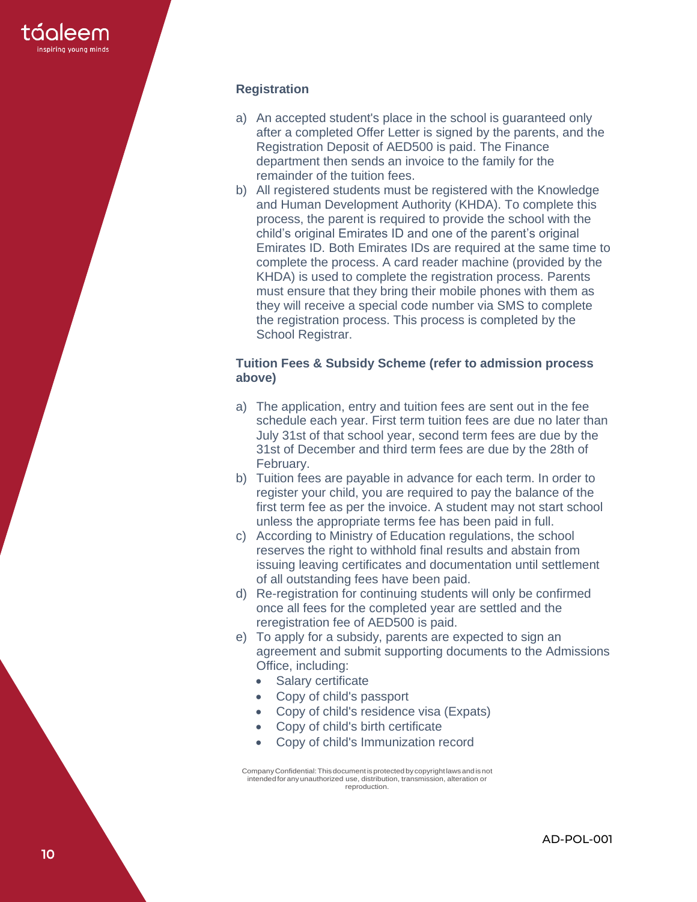

## **Registration**

- a) An accepted student's place in the school is guaranteed only after a completed Offer Letter is signed by the parents, and the Registration Deposit of AED500 is paid. The Finance department then sends an invoice to the family for the remainder of the tuition fees.
- b) All registered students must be registered with the Knowledge and Human Development Authority (KHDA). To complete this process, the parent is required to provide the school with the child's original Emirates ID and one of the parent's original Emirates ID. Both Emirates IDs are required at the same time to complete the process. A card reader machine (provided by the KHDA) is used to complete the registration process. Parents must ensure that they bring their mobile phones with them as they will receive a special code number via SMS to complete the registration process. This process is completed by the School Registrar.

#### **Tuition Fees & Subsidy Scheme (refer to admission process above)**

- a) The application, entry and tuition fees are sent out in the fee schedule each year. First term tuition fees are due no later than July 31st of that school year, second term fees are due by the 31st of December and third term fees are due by the 28th of February.
- b) Tuition fees are payable in advance for each term. In order to register your child, you are required to pay the balance of the first term fee as per the invoice. A student may not start school unless the appropriate terms fee has been paid in full.
- c) According to Ministry of Education regulations, the school reserves the right to withhold final results and abstain from issuing leaving certificates and documentation until settlement of all outstanding fees have been paid.
- d) Re -registration for continuing students will only be confirmed once all fees for the completed year are settled and the reregistration fee of AED500 is paid.
- e) To apply for a subsidy, parents are expected to sign an agreement and submit supporting documents to the Admissions Office, including:
	- Salary certificate
	- Copy of child's passport
	- Copy of child's residence visa (Expats)
	- Copy of child's birth certificate
	- Copy of child's Immunization record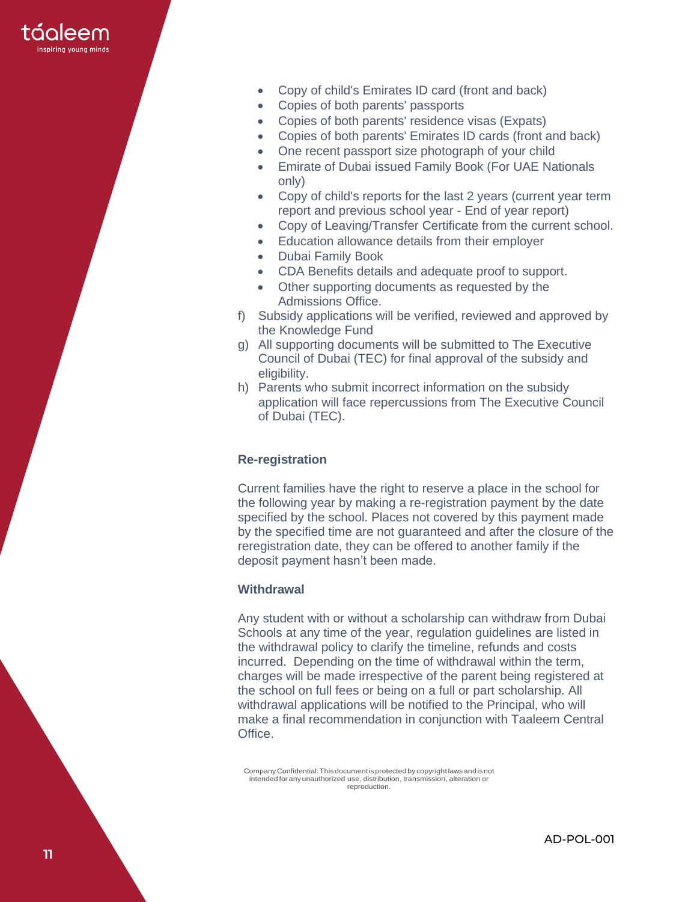

- Copy of child's Emirates ID card (front and back)
- Copies of both parents' passports
- Copies of both parents' residence visas (Expats)
- Copies of both parents' Emirates ID cards (front and back)
- One recent passport size photograph of your child
- Emirate of Dubai issued Family Book (For UAE Nationals only)
- Copy of child's reports for the last 2 years (current year term report and previous school year - End of year report)
- Copy of Leaving/Transfer Certificate from the current school.
- Education allowance details from their employer
- Dubai Family Book
- CDA Benefits details and adequate proof to support.
- Other supporting documents as requested by the Admissions Office.
- f) Subsidy applications will be verified, reviewed and approved by the Knowledge Fund
- g) All supporting documents will be submitted to The Executive Council of Dubai (TEC) for final approval of the subsidy and eligibility.
- h) Parents who submit incorrect information on the subsidy application will face repercussions from The Executive Council of Dubai (TEC).

#### **Re-registration**

Current families have the right to reserve a place in the school for the following year by making a re-registration payment by the date specified by the school. Places not covered by this payment made by the specified time are not guaranteed and after the closure of the reregistration date, they can be offered to another family if the deposit payment hasn't been made.

#### **Withdrawal**

Any student with or without a scholarship can withdraw from Dubai Schools at any time of the year, regulation guidelines are listed in the withdrawal policy to clarify the timeline, refunds and costs incurred. Depending on the time of withdrawal within the term, charges will be made irrespective of the parent being registered at the school on full fees or being on a full or part scholarship. All withdrawal applications will be notified to the Principal, who will make a final recommendation in conjunction with Taaleem Central Office.

CompanyConfidential:Thisdocumentisprotected bycopyrightlawsand isnot intended for anyunauthorized use, distribution, transmission, alteration or reproduction.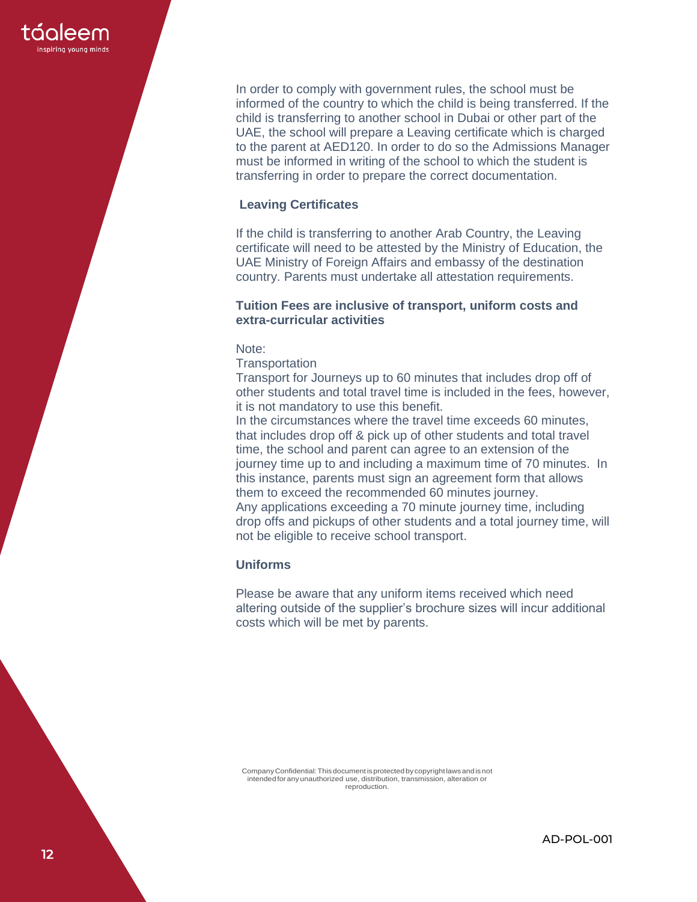

In order to comply with government rules, the school must be informed of the country to which the child is being transferred. If the child is transferring to another school in Dubai or other part of the UAE, the school will prepare a Leaving certificate which is charged to the parent at AED120. In order to do so the Admissions Manager must be informed in writing of the school to which the student is transferring in order to prepare the correct documentation.

## **Leaving Certificates**

If the child is transferring to another Arab Country, the Leaving certificate will need to be attested by the Ministry of Education, the UAE Ministry of Foreign Affairs and embassy of the destination country. Parents must undertake all attestation requirements.

#### **Tuition Fees are inclusive of transport, uniform costs and extra-curricular activities**

Note:

**Transportation** 

Transport for Journeys up to 60 minutes that includes drop off of other students and total travel time is included in the fees, however, it is not mandatory to use this benefit.

In the circumstances where the travel time exceeds 60 minutes, that includes drop off & pick up of other students and total travel time, the school and parent can agree to an extension of the journey time up to and including a maximum time of 70 minutes. In this instance, parents must sign an agreement form that allows them to exceed the recommended 60 minutes journey. Any applications exceeding a 70 minute journey time, including drop offs and pickups of other students and a total journey time, will not be eligible to receive school transport.

## **Uniforms**

Please be aware that any uniform items received which need altering outside of the supplier's brochure sizes will incur additional costs which will be met by parents.